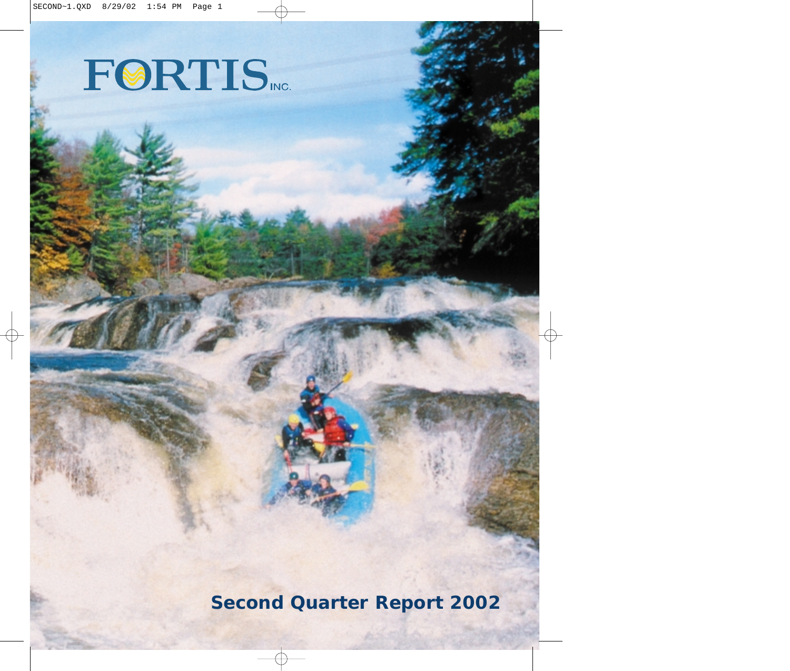# FØRTIS NO.

**Second Quarter Report 2002**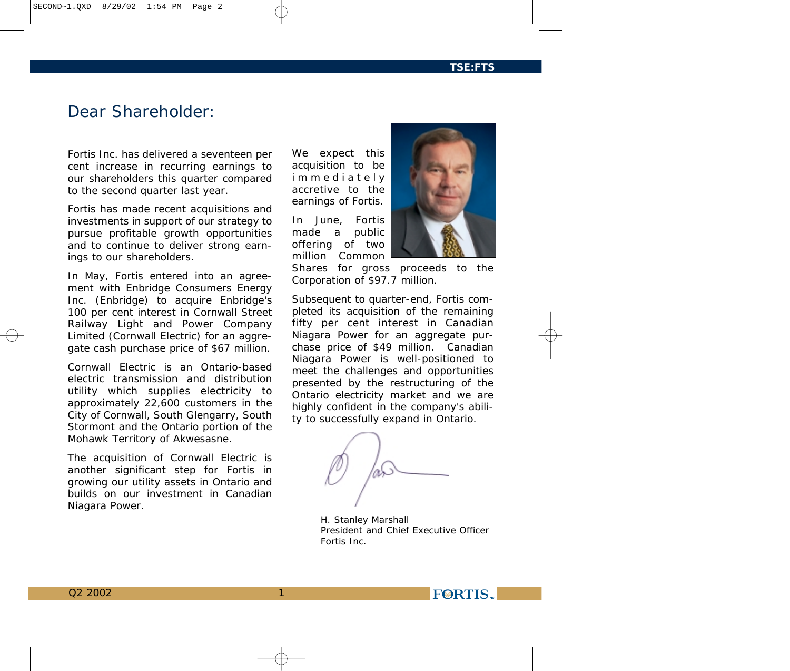# *Dear Shareholder:*

*Fortis Inc. has delivered a seventeen per cent increase in recurring earnings to our shareholders this quarter compared to the second quarter last year.*

*Fortis has made recent acquisitions and investments in support of our strategy to pursue profitable growth opportunities and to continue to deliver strong earnings to our shareholders.*

*In May, Fortis entered into an agreement with Enbridge Consumers Energy Inc. (Enbridge) to acquire Enbridge's 100 per cent interest in Cornwall Street Railway Light and Power Company Limited (Cornwall Electric) for an aggregate cash purchase price of \$67 million.*

*Cornwall Electric is an Ontario-based electric transmission and distribution utility which supplies electricity to approximately 22,600 customers in the City of Cornwall, South Glengarry, South Stormont and the Ontario portion of the Mohawk Territory of Akwesasne.*

*The acquisition of Cornwall Electric is another significant step for Fortis in growing our utility assets in Ontario and builds on our investment in Canadian Niagara Power.*

*We expect this acquisition to be immediately accretive to the earnings of Fortis.* 

*In June, Fortis made a public offering of two million Common*

1



*Shares for gross proceeds to the Corporation of \$97.7 million.*

*Subsequent to quarter-end, Fortis completed its acquisition of the remaining fifty per cent interest in Canadian Niagara Power for an aggregate purchase price of \$49 million. Canadian Niagara Power is well-positioned to meet the challenges and opportunities presented by the restructuring of the Ontario electricity market and we are highly confident in the company's ability to successfully expand in Ontario.*

*H. Stanley Marshall President and Chief Executive Officer Fortis Inc.*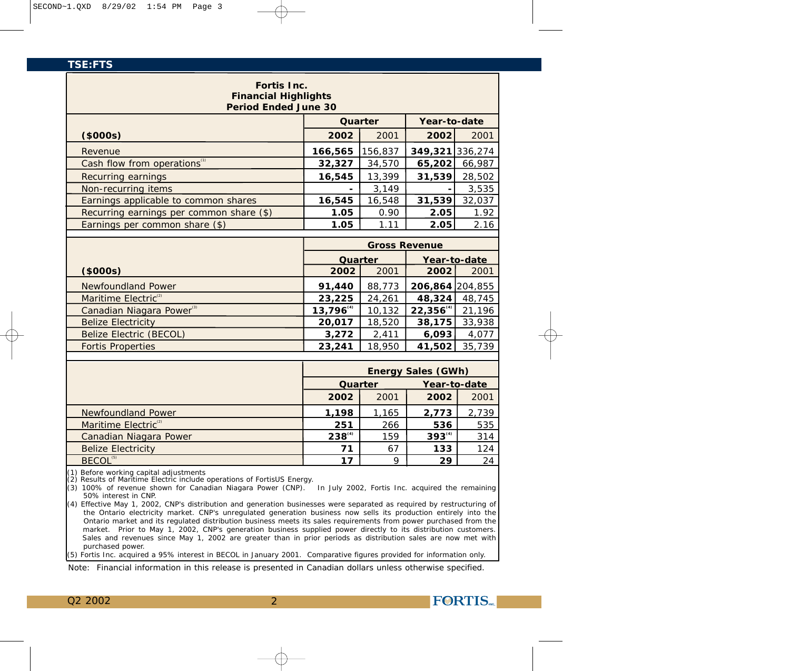| Fortis Inc.<br><b>Financial Highlights</b> |                |                      |                           |              |
|--------------------------------------------|----------------|----------------------|---------------------------|--------------|
| Period Ended June 30                       |                |                      |                           |              |
|                                            |                | Quarter              | Year-to-date              |              |
| (\$000s)                                   | 2002           | 2001                 | 2002                      | 2001         |
| Revenue                                    | 166,565        | 156,837              | 349,321 336,274           |              |
| Cash flow from operations <sup>(1)</sup>   | 32,327         | 34,570               | 65,202                    | 66,987       |
| Recurring earnings                         | 16,545         | 13,399               | 31,539                    | 28,502       |
| Non-recurring items                        |                | 3,149                |                           | 3,535        |
| Earnings applicable to common shares       | 16,545         | 16,548               | 31,539                    | 32,037       |
| Recurring earnings per common share (\$)   | 1.05           | 0.90                 | 2.05                      | 1.92         |
| Earnings per common share (\$)             | 1.05           | 1.11                 | 2.05                      | 2.16         |
|                                            |                |                      |                           |              |
|                                            |                | <b>Gross Revenue</b> |                           |              |
|                                            | Quarter        |                      |                           | Year-to-date |
| (\$000s)                                   | 2002           | 2001                 | 2002                      | 2001         |
| <b>Newfoundland Power</b>                  | 91,440         | 88,773               | 206,864 204,855           |              |
| Maritime Electric <sup>(2)</sup>           | 23,225         | 24,261               | 48,324                    | 48,745       |
| Canadian Niagara Power <sup>(3)</sup>      | $13,796^{(4)}$ | 10,132               | 22,356                    | 21,196       |
| <b>Belize Electricity</b>                  | 20,017         | 18,520               | 38,175                    | 33,938       |
| <b>Belize Electric (BECOL)</b>             | 3,272          | 2,411                | 6,093                     | 4,077        |
| <b>Fortis Properties</b>                   | 23,241         | 18,950               | 41,502                    | 35,739       |
|                                            |                |                      |                           |              |
|                                            |                |                      | <b>Energy Sales (GWh)</b> |              |
|                                            | Quarter        |                      |                           | Year-to-date |
|                                            | 2002           | 2001                 | 2002                      | 2001         |
| Newfoundland Power                         | 1,198          | 1,165                | 2,773                     | 2,739        |
| Maritime Electric <sup>(2)</sup>           | 251            | 266                  | 536                       | 535          |
| Canadian Niagara Power                     | $238^{(4)}$    | 159                  | $393^{(4)}$               | 314          |
| <b>Belize Electricity</b>                  | 71             | 67                   | 133                       | 124          |
| BECOL <sup>(5)</sup>                       | 17             | 9                    | 29                        | 24           |
| $\sim$ Defere working capital adjustments  |                |                      |                           |              |

efore working capital adjustments (2) Results of Maritime Electric include operations of FortisUS Energy.

(3) 100% of revenue shown for Canadian Niagara Power (CNP). In July 2002, Fortis Inc. acquired the remaining 50% interest in CNP.

(4) Effective May 1, 2002, CNP's distribution and generation businesses were separated as required by restructuring of the Ontario electricity market. CNP's unregulated generation business now sells its production entirely into the Ontario market and its regulated distribution business meets its sales requirements from power purchased from the market. Prior to May 1, 2002, CNP's generation business supplied power directly to its distribution customers. Sales and revenues since May 1, 2002 are greater than in prior periods as distribution sales are now met with purchased power.

(5) Fortis Inc. acquired a 95% interest in BECOL in January 2001. Comparative figures provided for information only.

*Note: Financial information in this release is presented in Canadian dollars unless otherwise specified.*

2

Q2 2002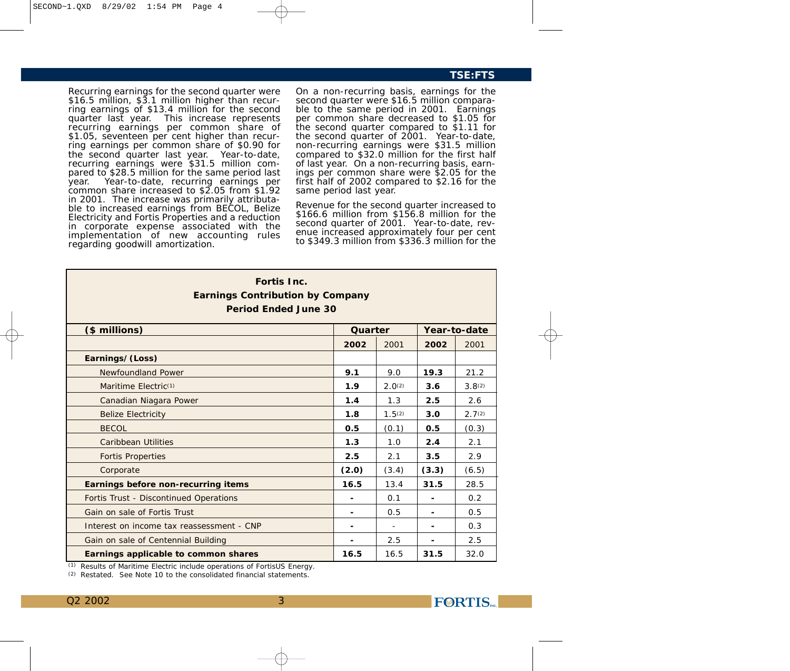Recurring earnings for the second quarter were \$16.5 million, \$3.1 million higher than recurring earnings of \$13.4 million for the second quarter last year. This increase represents recurring earnings per common share of \$1.05, seventeen per cent higher than recurring earnings per common share of \$0.90 for the second quarter last year. Year-to-date, recurring earnings were \$31.5 million compared to \$28.5 million for the same period last year. Year-to-date, recurring earnings per common share increased to \$2.05 from \$1.92 in 2001. The increase was primarily attributable to increased earnings from BECOL, Belize Electricity and Fortis Properties and a reduction in corporate expense associated with the implementation of new accounting rules regarding goodwill amortization.

On a non-recurring basis, earnings for the second quarter were \$16.5 million comparable to the same period in 2001. Earnings per common share decreased to \$1.05 for the second quarter compared to \$1.11 for the second quarter of 2001. Year-to-date, non-recurring earnings were \$31.5 million compared to \$32.0 million for the first half of last year. On a non-recurring basis, earnings per common share were \$2.05 for the first half of 2002 compared to \$2.16 for the same period last year.

Revenue for the second quarter increased to \$166.6 million from \$156.8 million for the second quarter of 2001. Year-to-date, revenue increased approximately four per cent to \$349.3 million from \$336.3 million for the

| Fortis Inc.<br><b>Earnings Contribution by Company</b><br>Period Ended June 30 |         |        |                          |                    |
|--------------------------------------------------------------------------------|---------|--------|--------------------------|--------------------|
| (\$ millions)                                                                  | Quarter |        |                          | Year-to-date       |
|                                                                                | 2002    | 2001   | 2002                     | 2001               |
| Earnings/(Loss)                                                                |         |        |                          |                    |
| Newfoundland Power                                                             | 9.1     | 9.0    | 19.3                     | 21.2               |
| Maritime Electric <sup>(1)</sup>                                               | 1.9     | 2.0(2) | 3.6                      | 3.8 <sup>(2)</sup> |
| Canadian Niagara Power                                                         | 1.4     | 1.3    | 2.5                      | 2.6                |
| <b>Belize Electricity</b>                                                      | 1.8     | 1.5(2) | 3.0                      | 2.7 <sup>(2)</sup> |
| <b>BECOL</b>                                                                   | 0.5     | (0.1)  | 0.5                      | (0.3)              |
| <b>Caribbean Utilities</b>                                                     | 1.3     | 1.0    | 2.4                      | 2.1                |
| <b>Fortis Properties</b>                                                       | 2.5     | 2.1    | 3.5                      | 2.9                |
| Corporate                                                                      | (2.0)   | (3.4)  | (3.3)                    | (6.5)              |
| Earnings before non-recurring items                                            | 16.5    | 13.4   | 31.5                     | 28.5               |
| Fortis Trust - Discontinued Operations                                         | ۰       | 0.1    |                          | 0.2                |
| Gain on sale of Fortis Trust                                                   | ۰       | 0.5    |                          | 0.5                |
| Interest on income tax reassessment - CNP                                      | -       |        | $\overline{\phantom{a}}$ | 0.3                |
| Gain on sale of Centennial Building                                            |         | 2.5    |                          | 2.5                |
| Earnings applicable to common shares                                           | 16.5    | 16.5   | 31.5                     | 32.0               |

(1) *Results of Maritime Electric include operations of FortisUS Energy.*

*(2) Restated. See Note 10 to the consolidated financial statements.*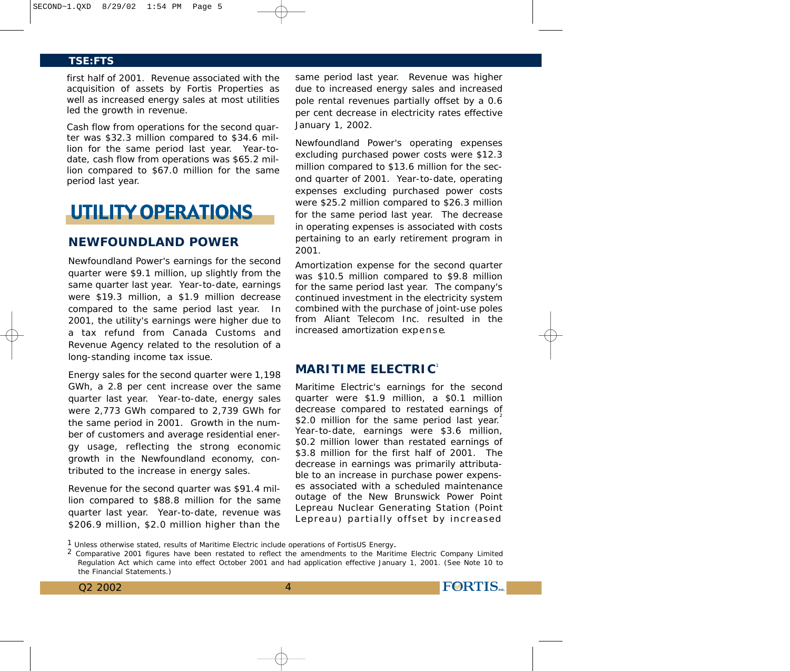first half of 2001. Revenue associated with the acquisition of assets by Fortis Properties as well as increased energy sales at most utilities led the growth in revenue.

Cash flow from operations for the second quarter was \$32.3 million compared to \$34.6 million for the same period last year. Year-todate, cash flow from operations was \$65.2 million compared to \$67.0 million for the same period last year.

# **UTILITY OPERATIONS**

# **NEWFOUNDLAND POWER**

Newfoundland Power's earnings for the second quarter were \$9.1 million, up slightly from the same quarter last year. Year-to-date, earnings were \$19.3 million, a \$1.9 million decrease compared to the same period last year. In 2001, the utility's earnings were higher due to a tax refund from Canada Customs and Revenue Agency related to the resolution of a long-standing income tax issue.

Energy sales for the second quarter were 1,198 GWh, a 2.8 per cent increase over the same quarter last year. Year-to-date, energy sales were 2,773 GWh compared to 2,739 GWh for the same period in 2001. Growth in the number of customers and average residential energy usage, reflecting the strong economic growth in the Newfoundland economy, contributed to the increase in energy sales.

Revenue for the second quarter was \$91.4 million compared to \$88.8 million for the same quarter last year. Year-to-date, revenue was \$206.9 million, \$2.0 million higher than the

same period last year. Revenue was higher due to increased energy sales and increased pole rental revenues partially offset by a 0.6 per cent decrease in electricity rates effective January 1, 2002.

Newfoundland Power's operating expenses excluding purchased power costs were \$12.3 million compared to \$13.6 million for the second quarter of 2001. Year-to-date, operating expenses excluding purchased power costs were \$25.2 million compared to \$26.3 million for the same period last year. The decrease in operating expenses is associated with costs pertaining to an early retirement program in 2001.

Amortization expense for the second quarter was \$10.5 million compared to \$9.8 million for the same period last year. The company's continued investment in the electricity system combined with the purchase of joint-use poles from Aliant Telecom Inc. resulted in the increased amortization expense.

# **MARITIME ELECTRIC**<sup>1</sup>

Maritime Electric's earnings for the second quarter were \$1.9 million, a \$0.1 million decrease compared to restated earnings of \$2.0 million for the same period last year. Year-to-date, earnings were \$3.6 million, \$0.2 million lower than restated earnings of \$3.8 million for the first half of 2001. The decrease in earnings was primarily attributable to an increase in purchase power expenses associated with a scheduled maintenance outage of the New Brunswick Power Point Lepreau Nuclear Generating Station (Point Lepreau) partially offset by increased

**FORTIS** 

 $1$  Unless otherwise stated, results of Maritime Electric include operations of FortisUS Energy.<br>2 Comparative 2001 figures have been restated to reflect the amendments to the Maritime Electric Company Limited Regulation Act which came into effect October 2001 and had application effective January 1, 2001. (See Note 10 to the Financial Statements.)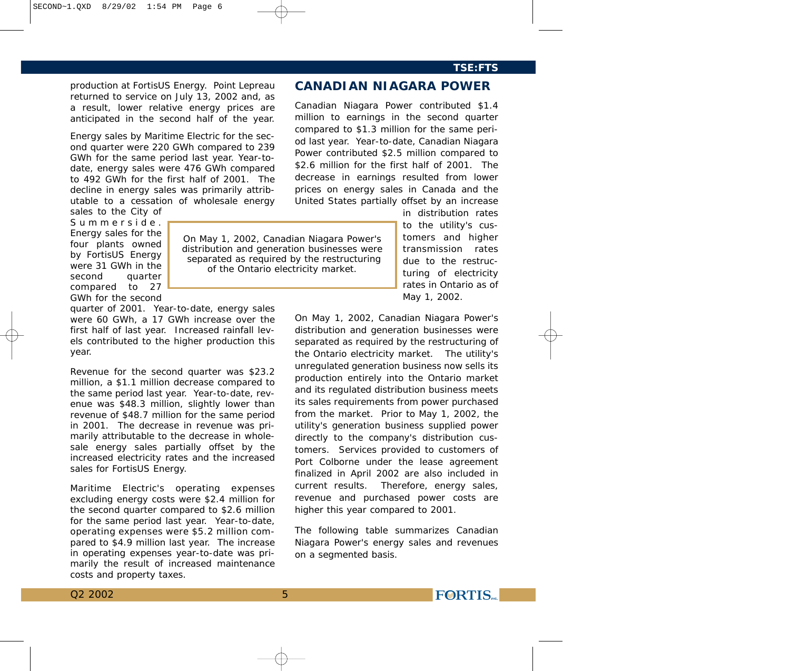# production at FortisUS Energy. Point Lepreau returned to service on July 13, 2002 and, as a result, lower relative energy prices are anticipated in the second half of the year.

Energy sales by Maritime Electric for the second quarter were 220 GWh compared to 239 GWh for the same period last year. Year-todate, energy sales were 476 GWh compared to 492 GWh for the first half of 2001. The decline in energy sales was primarily attributable to a cessation of wholesale energy sales to the City of

Summerside. Energy sales for the four plants owned by FortisUS Energy were 31 GWh in the second quarter compared to 27 GWh for the second

quarter of 2001. Year-to-date, energy sales were 60 GWh, a 17 GWh increase over the

first half of last year. Increased rainfall levels contributed to the higher production this year.

Revenue for the second quarter was \$23.2 million, a \$1.1 million decrease compared to the same period last year. Year-to-date, revenue was \$48.3 million, slightly lower than revenue of \$48.7 million for the same period in 2001. The decrease in revenue was primarily attributable to the decrease in wholesale energy sales partially offset by the increased electricity rates and the increased sales for FortisUS Energy.

Maritime Electric's operating expenses excluding energy costs were \$2.4 million for the second quarter compared to \$2.6 million for the same period last year. Year-to-date, operating expenses were \$5.2 million compared to \$4.9 million last year. The increase in operating expenses year-to-date was primarily the result of increased maintenance costs and property taxes.

Canadian Niagara Power contributed \$1.4 million to earnings in the second quarter compared to \$1.3 million for the same period last year. Year-to-date, Canadian Niagara Power contributed \$2.5 million compared to \$2.6 million for the first half of 2001. The decrease in earnings resulted from lower prices on energy sales in Canada and the United States partially offset by an increase

**CANADIAN NIAGARA POWER**

*On May 1, 2002, Canadian Niagara Power's distribution and generation businesses were separated as required by the restructuring of the Ontario electricity market.*

in distribution rates to the utility's customers and higher transmission rates due to the restructuring of electricity rates in Ontario as of May 1, 2002.

On May 1, 2002, Canadian Niagara Power's distribution and generation businesses were separated as required by the restructuring of the Ontario electricity market. The utility's unregulated generation business now sells its production entirely into the Ontario market and its regulated distribution business meets its sales requirements from power purchased from the market. Prior to May 1, 2002, the utility's generation business supplied power directly to the company's distribution customers. Services provided to customers of Port Colborne under the lease agreement finalized in April 2002 are also included in current results. Therefore, energy sales, revenue and purchased power costs are higher this year compared to 2001.

The following table summarizes Canadian Niagara Power's energy sales and revenues on a segmented basis.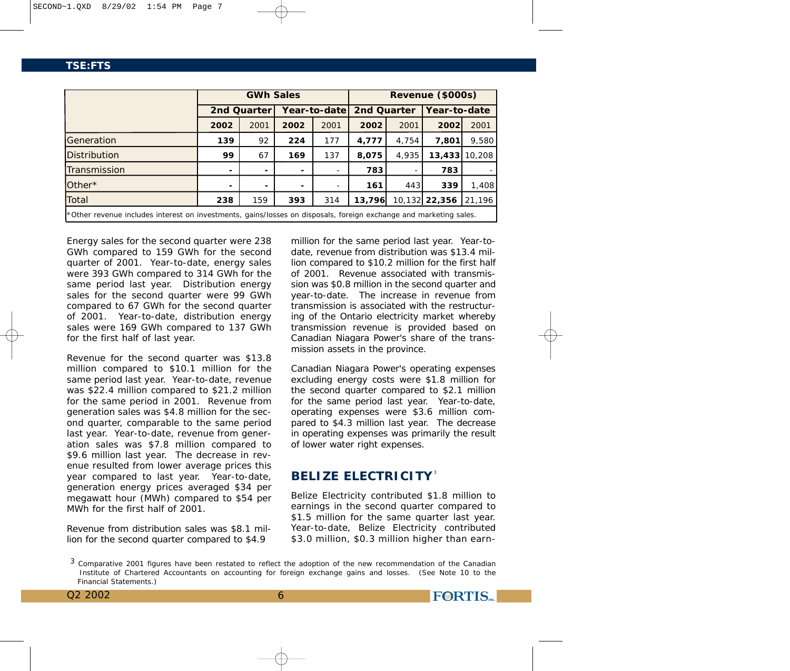|                                                                                                                   | <b>GWh Sales</b> |             |                          |               | Revenue (\$000s) |       |               |        |
|-------------------------------------------------------------------------------------------------------------------|------------------|-------------|--------------------------|---------------|------------------|-------|---------------|--------|
|                                                                                                                   |                  | 2nd Quarter |                          | Year-to-datel | 2nd Quarter      |       | Year-to-date  |        |
|                                                                                                                   | 2002             | 2001        | 2002                     | 2001          | 2002             | 2001  | 2002          | 2001   |
| Generation                                                                                                        | 139              | 92          | 224                      | 177           | 4,777            | 4.754 | 7.801         | 9,580  |
| <b>Distribution</b>                                                                                               | 99               | 67          | 169                      | 137           | 8,075            | 4,935 | 13,433        | 10,208 |
| Transmission                                                                                                      |                  |             |                          |               | 783              |       | 783           |        |
| $Other*$                                                                                                          |                  |             | $\overline{\phantom{0}}$ |               | 161              | 443   | 339           | 1,408  |
| Total                                                                                                             | 238              | 159         | 393                      | 314           | 13,796           |       | 10,132 22,356 | 21,196 |
| *Other revenue includes interest on investments, gains/losses on disposals, foreign exchange and marketing sales. |                  |             |                          |               |                  |       |               |        |

Energy sales for the second quarter were 238 GWh compared to 159 GWh for the second quarter of 2001. Year-to-date, energy sales were 393 GWh compared to 314 GWh for the same period last year. Distribution energy sales for the second quarter were 99 GWh compared to 67 GWh for the second quarter of 2001. Year-to-date, distribution energy sales were 169 GWh compared to 137 GWh for the first half of last year.

Revenue for the second quarter was \$13.8 million compared to \$10.1 million for the same period last year. Year-to-date, revenue was \$22.4 million compared to \$21.2 million for the same period in 2001. Revenue from generation sales was \$4.8 million for the second quarter, comparable to the same period last year. Year-to-date, revenue from generation sales was \$7.8 million compared to \$9.6 million last year. The decrease in revenue resulted from lower average prices this year compared to last year. Year-to-date, generation energy prices averaged \$34 per megawatt hour (MWh) compared to \$54 per MWh for the first half of 2001.

Revenue from distribution sales was \$8.1 million for the second quarter compared to \$4.9

million for the same period last year. Year-todate, revenue from distribution was \$13.4 million compared to \$10.2 million for the first half of 2001. Revenue associated with transmission was \$0.8 million in the second quarter and year-to-date. The increase in revenue from transmission is associated with the restructuring of the Ontario electricity market whereby transmission revenue is provided based on Canadian Niagara Power's share of the transmission assets in the province.

Canadian Niagara Power's operating expenses excluding energy costs were \$1.8 million for the second quarter compared to \$2.1 million for the same period last year. Year-to-date, operating expenses were \$3.6 million compared to \$4.3 million last year. The decrease in operating expenses was primarily the result of lower water right expenses.

# **BELIZE ELECTRICITY**<sup>3</sup>

Belize Electricity contributed \$1.8 million to earnings in the second quarter compared to \$1.5 million for the same quarter last year. Year-to-date, Belize Electricity contributed \$3.0 million, \$0.3 million higher than earn-

**FORTIS** 

6

Q2 2002

<sup>&</sup>lt;sup>3</sup> Comparative 2001 figures have been restated to reflect the adoption of the new recommendation of the Canadian Institute of Chartered Accountants on accounting for foreign exchange gains and losses. (See Note 10 to the Financial Statements.)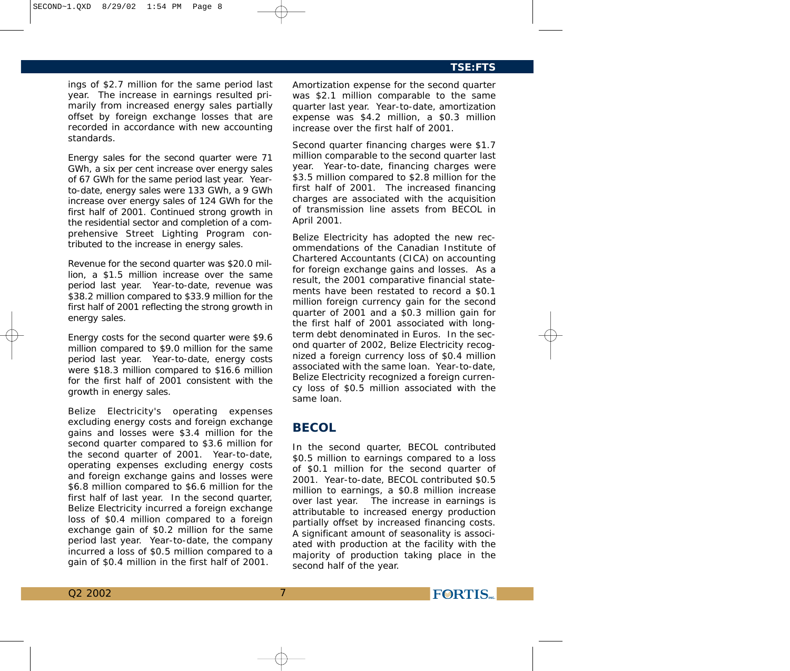#### SECOND~1.QXD 8/29/02 1:54 PM Page 8

# **TSE:FTS**

ings of \$2.7 million for the same period last year. The increase in earnings resulted primarily from increased energy sales partially offset by foreign exchange losses that are recorded in accordance with new accounting standards.

Energy sales for the second quarter were 71 GWh, a six per cent increase over energy sales of 67 GWh for the same period last year. Yearto-date, energy sales were 133 GWh, a 9 GWh increase over energy sales of 124 GWh for the first half of 2001. Continued strong growth in the residential sector and completion of a comprehensive Street Lighting Program contributed to the increase in energy sales.

Revenue for the second quarter was \$20.0 million, a \$1.5 million increase over the same period last year. Year-to-date, revenue was \$38.2 million compared to \$33.9 million for the first half of 2001 reflecting the strong growth in energy sales.

Energy costs for the second quarter were \$9.6 million compared to \$9.0 million for the same period last year. Year-to-date, energy costs were \$18.3 million compared to \$16.6 million for the first half of 2001 consistent with the growth in energy sales.

Belize Electricity's operating expenses excluding energy costs and foreign exchange gains and losses were \$3.4 million for the second quarter compared to \$3.6 million for the second quarter of 2001. Year-to-date, operating expenses excluding energy costs and foreign exchange gains and losses were \$6.8 million compared to \$6.6 million for the first half of last year. In the second quarter, Belize Electricity incurred a foreign exchange loss of \$0.4 million compared to a foreign exchange gain of \$0.2 million for the same period last year. Year-to-date, the company incurred a loss of \$0.5 million compared to a gain of \$0.4 million in the first half of 2001.

Amortization expense for the second quarter was \$2.1 million comparable to the same quarter last year. Year-to-date, amortization expense was \$4.2 million, a \$0.3 million increase over the first half of 2001.

Second quarter financing charges were \$1.7 million comparable to the second quarter last year. Year-to-date, financing charges were \$3.5 million compared to \$2.8 million for the first half of 2001. The increased financing charges are associated with the acquisition of transmission line assets from BECOL in April 2001.

Belize Electricity has adopted the new recommendations of the Canadian Institute of Chartered Accountants (CICA) on accounting for foreign exchange gains and losses. As a result, the 2001 comparative financial statements have been restated to record a \$0.1 million foreign currency gain for the second quarter of 2001 and a \$0.3 million gain for the first half of 2001 associated with longterm debt denominated in Euros. In the second quarter of 2002, Belize Electricity recognized a foreign currency loss of \$0.4 million associated with the same loan. Year-to-date, Belize Electricity recognized a foreign currency loss of \$0.5 million associated with the same loan.

# **BECOL**

In the second quarter, BECOL contributed \$0.5 million to earnings compared to a loss of \$0.1 million for the second quarter of 2001. Year-to-date, BECOL contributed \$0.5 million to earnings, a \$0.8 million increase over last year. The increase in earnings is attributable to increased energy production partially offset by increased financing costs. A significant amount of seasonality is associated with production at the facility with the majority of production taking place in the second half of the year.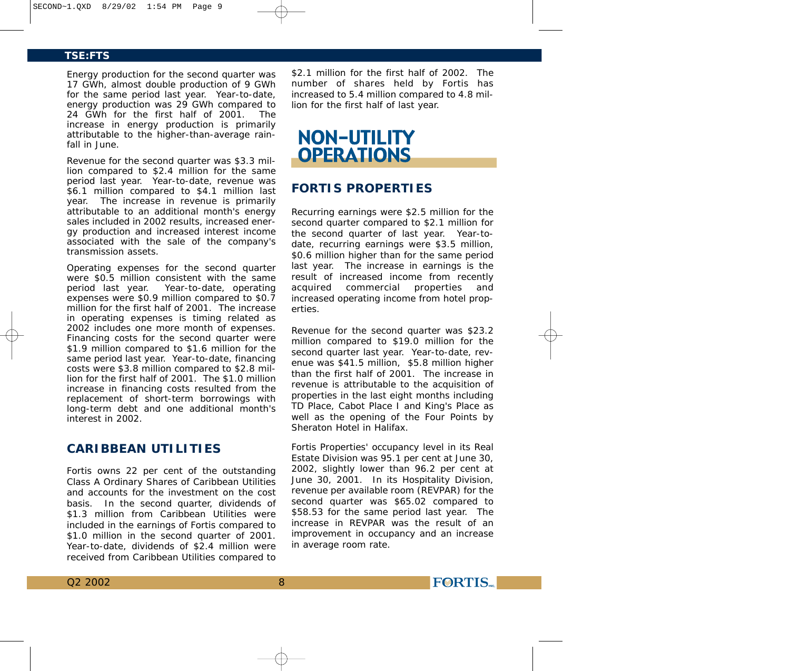Energy production for the second quarter was 17 GWh, almost double production of 9 GWh for the same period last year. Year-to-date, energy production was 29 GWh compared to 24 GWh for the first half of 2001. The increase in energy production is primarily attributable to the higher-than-average rainfall in June.

Revenue for the second quarter was \$3.3 million compared to \$2.4 million for the same period last year. Year-to-date, revenue was \$6.1 million compared to \$4.1 million last year. The increase in revenue is primarily attributable to an additional month's energy sales included in 2002 results, increased energy production and increased interest income associated with the sale of the company's transmission assets.

Operating expenses for the second quarter were \$0.5 million consistent with the same period last year. Year-to-date, operating expenses were \$0.9 million compared to \$0.7 million for the first half of 2001. The increase in operating expenses is timing related as 2002 includes one more month of expenses. Financing costs for the second quarter were \$1.9 million compared to \$1.6 million for the same period last year. Year-to-date, financing costs were \$3.8 million compared to \$2.8 million for the first half of 2001. The \$1.0 million increase in financing costs resulted from the replacement of short-term borrowings with long-term debt and one additional month's interest in 2002.

# **CARIBBEAN UTILITIES**

Fortis owns 22 per cent of the outstanding Class A Ordinary Shares of Caribbean Utilities and accounts for the investment on the cost basis. In the second quarter, dividends of \$1.3 million from Caribbean Utilities were included in the earnings of Fortis compared to \$1.0 million in the second quarter of 2001. Year-to-date, dividends of \$2.4 million were received from Caribbean Utilities compared to

8

\$2.1 million for the first half of 2002. The number of shares held by Fortis has increased to 5.4 million compared to 4.8 million for the first half of last year.

# **NON-UTILITY OPERATIONS**

# **FORTIS PROPERTIES**

Recurring earnings were \$2.5 million for the second quarter compared to \$2.1 million for the second quarter of last year. Year-todate, recurring earnings were \$3.5 million, \$0.6 million higher than for the same period last year. The increase in earnings is the result of increased income from recently acquired commercial properties and increased operating income from hotel properties.

Revenue for the second quarter was \$23.2 million compared to \$19.0 million for the second quarter last year. Year-to-date, revenue was \$41.5 million, \$5.8 million higher than the first half of 2001. The increase in revenue is attributable to the acquisition of properties in the last eight months including TD Place, Cabot Place I and King's Place as well as the opening of the Four Points by Sheraton Hotel in Halifax.

Fortis Properties' occupancy level in its Real Estate Division was 95.1 per cent at June 30, 2002, slightly lower than 96.2 per cent at June 30, 2001. In its Hospitality Division, revenue per available room (REVPAR) for the second quarter was \$65.02 compared to \$58.53 for the same period last year. The increase in REVPAR was the result of an improvement in occupancy and an increase in average room rate.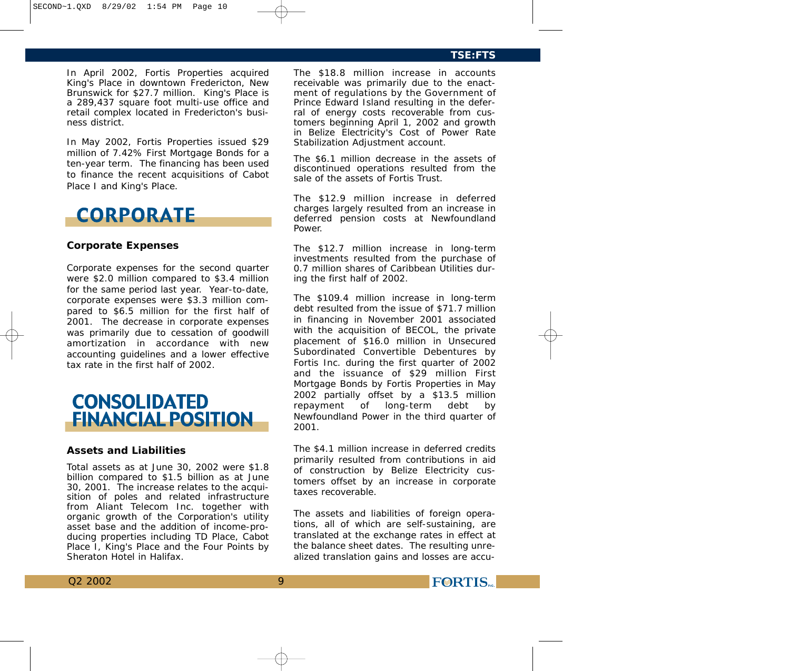In April 2002, Fortis Properties acquired King's Place in downtown Fredericton, New Brunswick for \$27.7 million. King's Place is a 289,437 square foot multi-use office and retail complex located in Fredericton's business district.

In May 2002, Fortis Properties issued \$29 million of 7.42% First Mortgage Bonds for a ten-year term. The financing has been used to finance the recent acquisitions of Cabot Place I and King's Place.

# **CORPORATE**

#### **Corporate Expenses**

Corporate expenses for the second quarter were \$2.0 million compared to \$3.4 million for the same period last year. Year-to-date, corporate expenses were \$3.3 million compared to \$6.5 million for the first half of 2001. The decrease in corporate expenses was primarily due to cessation of goodwill amortization in accordance with new accounting guidelines and a lower effective tax rate in the first half of 2002.



#### **Assets and Liabilities**

Total assets as at June 30, 2002 were \$1.8 billion compared to \$1.5 billion as at June 30, 2001. The increase relates to the acquisition of poles and related infrastructure from Aliant Telecom Inc. together with organic growth of the Corporation's utility asset base and the addition of income-producing properties including TD Place, Cabot Place I, King's Place and the Four Points by Sheraton Hotel in Halifax.

The \$18.8 million increase in accounts receivable was primarily due to the enactment of regulations by the Government of Prince Edward Island resulting in the deferral of energy costs recoverable from customers beginning April 1, 2002 and growth in Belize Electricity's Cost of Power Rate Stabilization Adjustment account.

The \$6.1 million decrease in the assets of discontinued operations resulted from the sale of the assets of Fortis Trust.

The \$12.9 million increase in deferred charges largely resulted from an increase in deferred pension costs at Newfoundland Power.

The \$12.7 million increase in long-term investments resulted from the purchase of 0.7 million shares of Caribbean Utilities during the first half of 2002.

The \$109.4 million increase in long-term debt resulted from the issue of \$71.7 million in financing in November 2001 associated with the acquisition of BECOL, the private placement of \$16.0 million in Unsecured Subordinated Convertible Debentures by Fortis Inc. during the first quarter of 2002 and the issuance of \$29 million First Mortgage Bonds by Fortis Properties in May 2002 partially offset by a \$13.5 million repayment of long-term debt by Newfoundland Power in the third quarter of 2001.

The \$4.1 million increase in deferred credits primarily resulted from contributions in aid of construction by Belize Electricity customers offset by an increase in corporate taxes recoverable.

The assets and liabilities of foreign operations, all of which are self-sustaining, are translated at the exchange rates in effect at the balance sheet dates. The resulting unrealized translation gains and losses are accu-

9

**FORTIS**<sub>NC.</sub>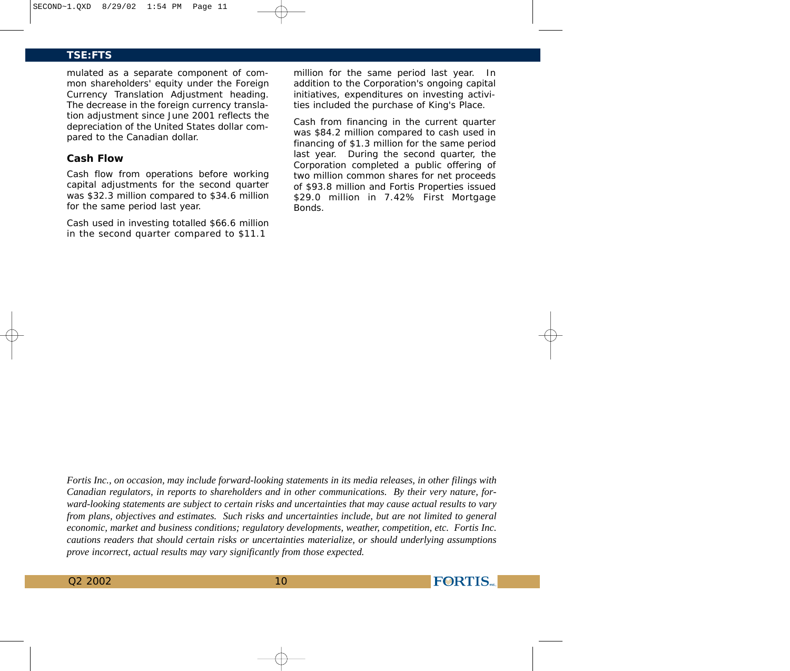mulated as a separate component of common shareholders' equity under the Foreign Currency Translation Adjustment heading. The decrease in the foreign currency translation adjustment since June 2001 reflects the depreciation of the United States dollar compared to the Canadian dollar.

# **Cash Flow**

Cash flow from operations before working capital adjustments for the second quarter was \$32.3 million compared to \$34.6 million for the same period last year.

Cash used in investing totalled \$66.6 million in the second quarter compared to \$11.1

million for the same period last year. In addition to the Corporation's ongoing capital initiatives, expenditures on investing activities included the purchase of King's Place.

Cash from financing in the current quarter was \$84.2 million compared to cash used in financing of \$1.3 million for the same period last year. During the second quarter, the Corporation completed a public offering of two million common shares for net proceeds of \$93.8 million and Fortis Properties issued \$29.0 million in 7.42% First Mortgage Bonds.

**FORTIS** 

*Fortis Inc., on occasion, may include forward-looking statements in its media releases, in other filings with Canadian regulators, in reports to shareholders and in other communications. By their very nature, forward-looking statements are subject to certain risks and uncertainties that may cause actual results to vary from plans, objectives and estimates. Such risks and uncertainties include, but are not limited to general economic, market and business conditions; regulatory developments, weather, competition, etc. Fortis Inc. cautions readers that should certain risks or uncertainties materialize, or should underlying assumptions prove incorrect, actual results may vary significantly from those expected.*

Q2 2002 10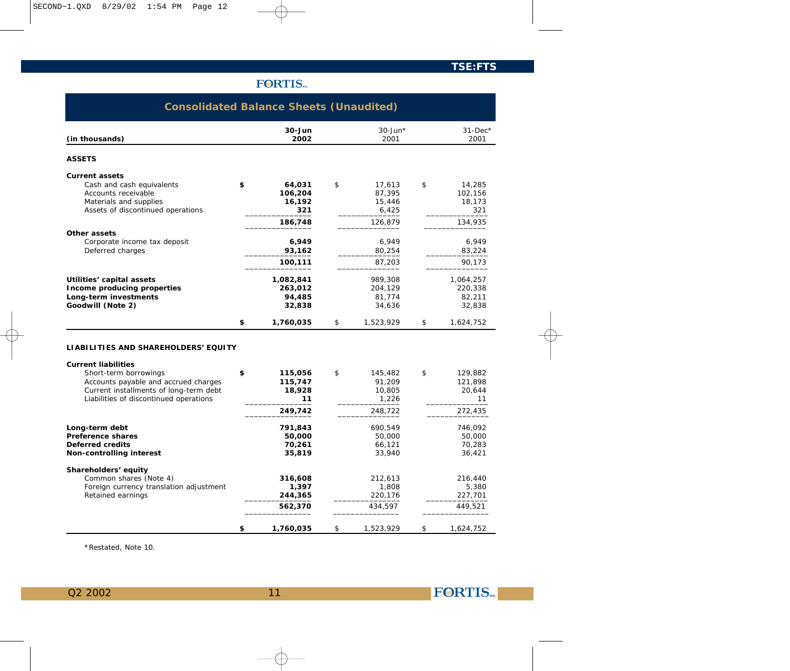|                                                                                                                                                                                                                         | <b>FORTIS</b>                                       |                                                       |                                                     |
|-------------------------------------------------------------------------------------------------------------------------------------------------------------------------------------------------------------------------|-----------------------------------------------------|-------------------------------------------------------|-----------------------------------------------------|
| <b>Consolidated Balance Sheets (Unaudited)</b>                                                                                                                                                                          |                                                     |                                                       |                                                     |
| (in thousands)                                                                                                                                                                                                          | $30 - Jun$<br>2002                                  | $30$ -Jun*<br>2001                                    | $31$ -Dec*<br>2001                                  |
| <b>ASSETS</b>                                                                                                                                                                                                           |                                                     |                                                       |                                                     |
| <b>Current assets</b><br>Cash and cash equivalents<br>Accounts receivable<br>Materials and supplies<br>Assets of discontinued operations                                                                                | \$<br>64,031<br>106,204<br>16,192<br>321<br>186,748 | \$<br>17,613<br>87,395<br>15,446<br>6,425<br>126,879  | \$<br>14,285<br>102,156<br>18,173<br>321<br>134,935 |
| Other assets<br>Corporate income tax deposit<br>Deferred charges                                                                                                                                                        | 6,949<br>93,162<br>100,111                          | 6,949<br>80,254<br>87,203                             | 6,949<br>83,224<br>90,173                           |
| Utilities' capital assets<br>Income producing properties<br>Long-term investments<br>Goodwill (Note 2)                                                                                                                  | 1,082,841<br>263,012<br>94,485<br>32,838            | 989,308<br>204,129<br>81,774<br>34,636                | 1,064,257<br>220,338<br>82,211<br>32,838            |
|                                                                                                                                                                                                                         | \$<br>1,760,035                                     | \$<br>1,523,929                                       | \$<br>1,624,752                                     |
| LIABILITIES AND SHAREHOLDERS' EQUITY<br><b>Current liabilities</b><br>Short-term borrowings<br>Accounts payable and accrued charges<br>Current installments of long-term debt<br>Liabilities of discontinued operations | \$<br>115,056<br>115,747<br>18,928<br>11<br>249,742 | \$<br>145,482<br>91,209<br>10,805<br>1,226<br>248,722 | \$<br>129,882<br>121,898<br>20,644<br>11<br>272,435 |
| Long-term debt<br>Preference shares<br>Deferred credits<br>Non-controlling interest                                                                                                                                     | 791,843<br>50,000<br>70,261<br>35,819               | 690,549<br>50,000<br>66,121<br>33,940                 | 746,092<br>50,000<br>70,283<br>36,421               |
| Shareholders' equity<br>Common shares (Note 4)<br>Foreign currency translation adjustment<br>Retained earnings                                                                                                          | 316,608<br>1,397<br>244,365<br>562,370              | 212,613<br>1,808<br>220,176<br>434.597                | 216,440<br>5,380<br>227,701<br>449.521              |
|                                                                                                                                                                                                                         | \$<br>1,760,035                                     | \$<br>1,523,929                                       | \$<br>1,624,752                                     |

\*Restated, Note 10.

Q2 2002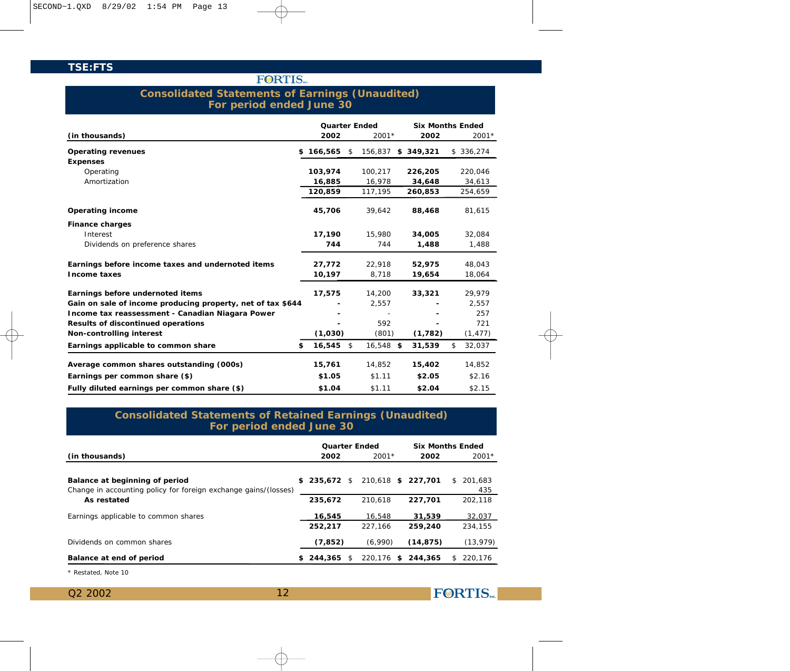# **FORTIS**

# **Consolidated Statements of Earnings (Unaudited) For period ended June 30**

|                                                             | <b>Quarter Ended</b> |                 | <b>Six Months Ended</b> |              |
|-------------------------------------------------------------|----------------------|-----------------|-------------------------|--------------|
| (in thousands)                                              | 2002                 | $2001*$         | 2002                    | $2001*$      |
| Operating revenues<br>\$                                    | 166,565              | \$<br>156,837   | \$349,321               | \$336,274    |
| <b>Expenses</b>                                             |                      |                 |                         |              |
| Operating                                                   | 103,974              | 100,217         | 226,205                 | 220,046      |
| Amortization                                                | 16,885               | 16,978          | 34,648                  | 34,613       |
|                                                             | 120,859              | 117,195         | 260,853                 | 254,659      |
| Operating income                                            | 45,706               | 39,642          | 88,468                  | 81,615       |
| Finance charges                                             |                      |                 |                         |              |
| Interest                                                    | 17,190               | 15,980          | 34,005                  | 32.084       |
| Dividends on preference shares                              | 744                  | 744             | 1,488                   | 1,488        |
| Earnings before income taxes and undernoted items           | 27,772               | 22,918          | 52,975                  | 48,043       |
| Income taxes                                                | 10,197               | 8,718           | 19,654                  | 18,064       |
| Earnings before undernoted items                            | 17,575               | 14,200          | 33,321                  | 29,979       |
| Gain on sale of income producing property, net of tax \$644 |                      | 2,557           |                         | 2,557        |
| Income tax reassessment - Canadian Niagara Power            |                      |                 |                         | 257          |
| Results of discontinued operations                          |                      | 592             |                         | 721          |
| Non-controlling interest                                    | (1,030)              | (801)           | (1, 782)                | (1, 477)     |
| \$<br>Earnings applicable to common share                   | 16,545               | \$<br>16,548 \$ | 31,539                  | \$<br>32,037 |
| Average common shares outstanding (000s)                    | 15,761               | 14,852          | 15,402                  | 14,852       |
| Earnings per common share (\$)                              | \$1.05               | \$1.11          | \$2.05                  | \$2.16       |
| Fully diluted earnings per common share (\$)                | \$1.04               | \$1.11          | \$2.04                  | \$2.15       |

# **Consolidated Statements of Retained Earnings (Unaudited) For period ended June 30**

|                                                                                                   |     | <b>Quarter Ended</b> |                    |           | <b>Six Months Ended</b> |
|---------------------------------------------------------------------------------------------------|-----|----------------------|--------------------|-----------|-------------------------|
| (in thousands)                                                                                    |     | 2002                 | $2001*$            | 2002      | $2001*$                 |
| Balance at beginning of period<br>Change in accounting policy for foreign exchange gains/(losses) | S.  | 235,672 \$           | 210.618 \$ 227.701 |           | 201.683<br>S.<br>435    |
| As restated                                                                                       |     | 235.672              | 210.618            | 227.701   | 202.118                 |
| Earnings applicable to common shares                                                              |     | 16,545               | 16.548             | 31.539    | 32,037                  |
|                                                                                                   |     | 252,217              | 227.166            | 259,240   | 234.155                 |
| Dividends on common shares                                                                        |     | (7, 852)             | (6.990)            | (14, 875) | (13, 979)               |
| Balance at end of period                                                                          | SS. | 244,365              | \$<br>220.176 \$   | 244,365   | 220.176<br>S.           |

12

\* Restated, Note 10

Q2 2002

**FORTIS**<sub>NC.</sub>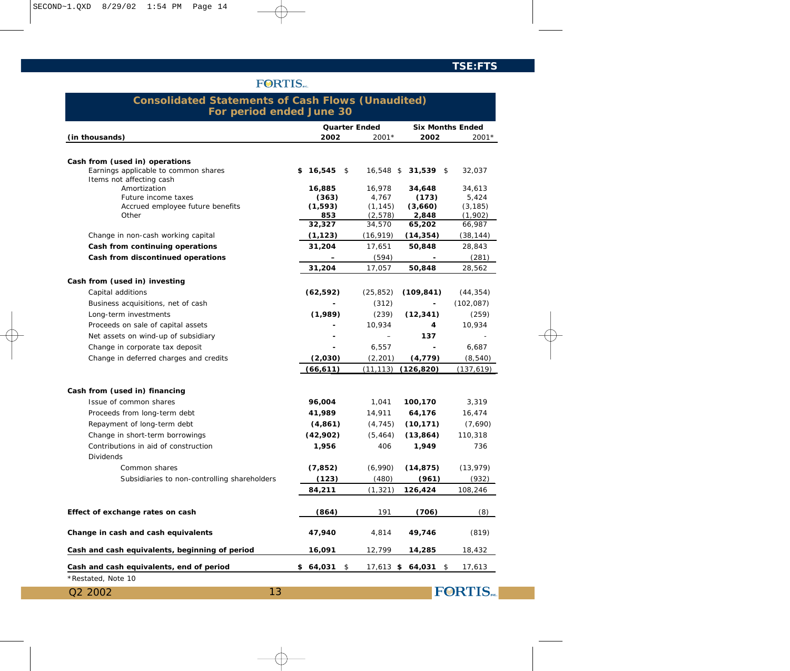# **FORTIS**

# **Consolidated Statements of Cash Flows (Unaudited) For period ended June 30**

|                                                | Quarter Ended            |           |                          | <b>Six Months Ended</b>      |
|------------------------------------------------|--------------------------|-----------|--------------------------|------------------------------|
| (in thousands)                                 | 2002                     | 2001*     | 2002                     | $2001*$                      |
|                                                |                          |           |                          |                              |
| Cash from (used in) operations                 |                          |           |                          |                              |
| Earnings applicable to common shares           | $$16,545$ \$             | 16,548 \$ | 31,539 \$                | 32,037                       |
| Items not affecting cash<br>Amortization       | 16,885                   | 16,978    | 34,648                   | 34,613                       |
| Future income taxes                            | (363)                    | 4,767     | (173)                    | 5,424                        |
| Accrued employee future benefits               | (1, 593)                 | (1, 145)  | (3,660)                  | (3, 185)                     |
| Other                                          | 853                      | (2, 578)  | 2,848                    | (1,902)                      |
|                                                | 32,327                   | 34,570    | 65,202                   | 66,987                       |
| Change in non-cash working capital             | (1, 123)                 | (16, 919) | (14, 354)                | (38, 144)                    |
| Cash from continuing operations                | 31,204                   | 17,651    | 50,848                   | 28,843                       |
| Cash from discontinued operations              |                          | (594)     |                          | (281)                        |
|                                                | 31,204                   | 17,057    | 50,848                   | 28,562                       |
| Cash from (used in) investing                  |                          |           |                          |                              |
| Capital additions                              | (62, 592)                | (25, 852) | (109, 841)               | (44, 354)                    |
| Business acquisitions, net of cash             | $\overline{a}$           | (312)     | $\overline{\phantom{a}}$ | (102, 087)                   |
| Long-term investments                          | (1,989)                  | (239)     | (12, 341)                | (259)                        |
| Proceeds on sale of capital assets             |                          | 10,934    | 4                        | 10,934                       |
| Net assets on wind-up of subsidiary            |                          |           | 137                      |                              |
| Change in corporate tax deposit                | $\overline{\phantom{a}}$ | 6,557     | $\blacksquare$           | 6,687                        |
| Change in deferred charges and credits         | (2,030)                  | (2, 201)  | (4, 779)                 | (8, 540)                     |
|                                                | (66, 611)                | (11, 113) | (126, 820)               | (137,619)                    |
|                                                |                          |           |                          |                              |
| Cash from (used in) financing                  |                          |           |                          |                              |
| Issue of common shares                         | 96,004                   | 1,041     | 100,170                  | 3,319                        |
| Proceeds from long-term debt                   | 41,989                   | 14,911    | 64,176                   | 16,474                       |
| Repayment of long-term debt                    | (4, 861)                 | (4, 745)  | (10, 171)                | (7,690)                      |
| Change in short-term borrowings                | (42,902)                 | (5, 464)  | (13, 864)                | 110,318                      |
| Contributions in aid of construction           | 1,956                    | 406       | 1,949                    | 736                          |
| <b>Dividends</b>                               |                          |           |                          |                              |
| Common shares                                  | (7, 852)                 | (6,990)   | (14, 875)                | (13, 979)                    |
| Subsidiaries to non-controlling shareholders   | (123)                    | (480)     | (961)                    | (932)                        |
|                                                | 84,211                   | (1, 321)  | 126,424                  | 108,246                      |
|                                                |                          |           |                          |                              |
| Effect of exchange rates on cash               | (864)                    | 191       | (706)                    | (8)                          |
| Change in cash and cash equivalents            | 47,940                   | 4,814     | 49,746                   | (819)                        |
| Cash and cash equivalents, beginning of period | 16,091                   | 12,799    | 14,285                   | 18,432                       |
| Cash and cash equivalents, end of period       | \$64,031<br>\$           |           | 17,613 \$ 64,031 \$      | 17,613                       |
| *Restated, Note 10                             |                          |           |                          |                              |
| Q2 2002<br>13                                  |                          |           |                          | <b>FORTIS</b> <sub>NC.</sub> |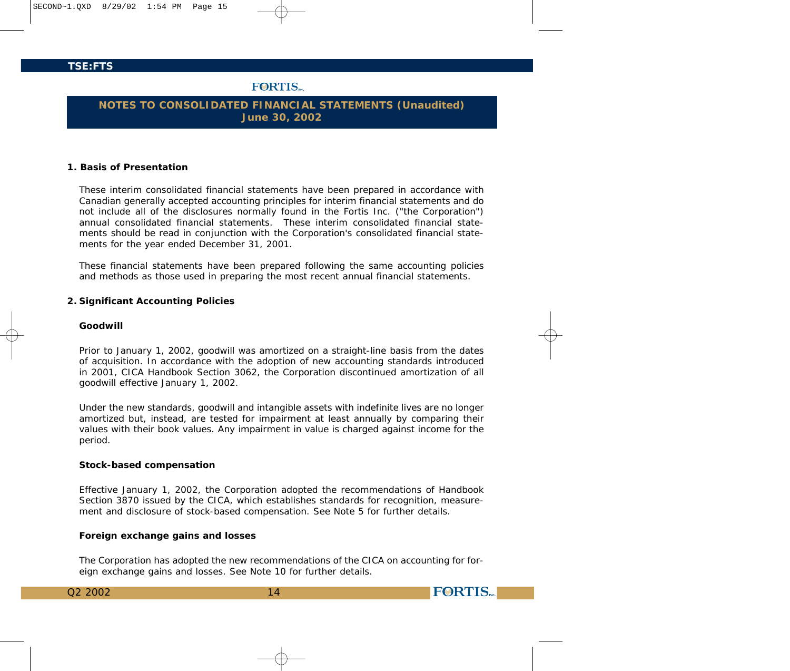# **FORTIS**

# **NOTES TO CONSOLIDATED FINANCIAL STATEMENTS (Unaudited) June 30, 2002**

### **1. Basis of Presentation**

These interim consolidated financial statements have been prepared in accordance with Canadian generally accepted accounting principles for interim financial statements and do not include all of the disclosures normally found in the Fortis Inc. ("the Corporation") annual consolidated financial statements. These interim consolidated financial statements should be read in conjunction with the Corporation's consolidated financial statements for the year ended December 31, 2001.

These financial statements have been prepared following the same accounting policies and methods as those used in preparing the most recent annual financial statements.

#### **2. Significant Accounting Policies**

### *Goodwill*

Prior to January 1, 2002, goodwill was amortized on a straight-line basis from the dates of acquisition. In accordance with the adoption of new accounting standards introduced in 2001, CICA Handbook Section 3062, the Corporation discontinued amortization of all goodwill effective January 1, 2002.

Under the new standards, goodwill and intangible assets with indefinite lives are no longer amortized but, instead, are tested for impairment at least annually by comparing their values with their book values. Any impairment in value is charged against income for the period.

#### *Stock-based compensation*

Effective January 1, 2002, the Corporation adopted the recommendations of Handbook Section 3870 issued by the CICA, which establishes standards for recognition, measurement and disclosure of stock-based compensation. See Note 5 for further details.

#### *Foreign exchange gains and losses*

The Corporation has adopted the new recommendations of the CICA on accounting for foreign exchange gains and losses. See Note 10 for further details.

**FORTIS** 

| O2 2002 |  |
|---------|--|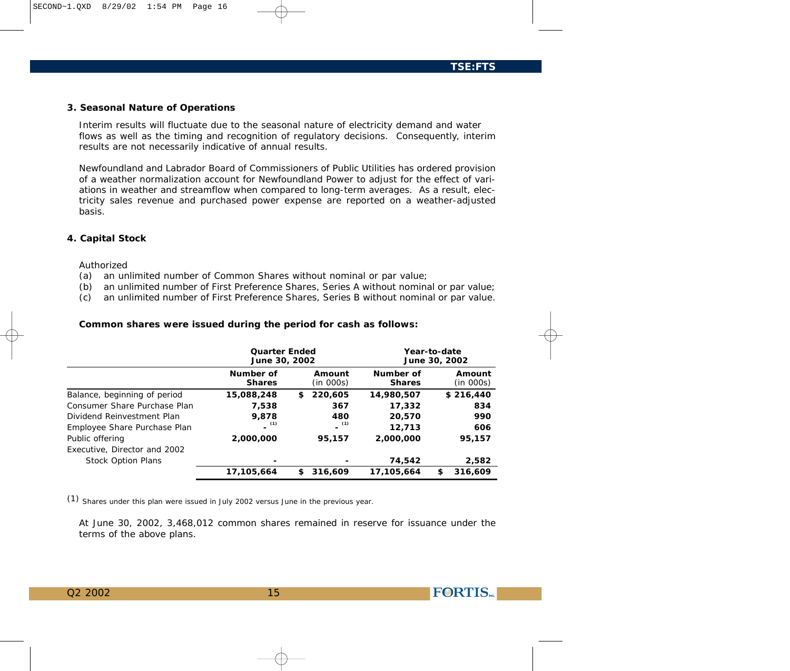#### **3. Seasonal Nature of Operations**

Interim results will fluctuate due to the seasonal nature of electricity demand and water flows as well as the timing and recognition of regulatory decisions. Consequently, interim results are not necessarily indicative of annual results.

Newfoundland and Labrador Board of Commissioners of Public Utilities has ordered provision of a weather normalization account for Newfoundland Power to adjust for the effect of variations in weather and streamflow when compared to long-term averages. As a result, electricity sales revenue and purchased power expense are reported on a weather-adjusted basis.

## **4. Capital Stock**

#### Authorized

- (a) an unlimited number of Common Shares without nominal or par value;
- (b) an unlimited number of First Preference Shares, Series A without nominal or par value;
- (c) an unlimited number of First Preference Shares, Series B without nominal or par value.

| Common shares were issued during the period for cash as follows: |  |  |  |  |
|------------------------------------------------------------------|--|--|--|--|
|------------------------------------------------------------------|--|--|--|--|

|                              |                            | <b>Quarter Ended</b><br>June 30, 2002 |                            | Year-to-date<br>June 30, 2002 |  |  |
|------------------------------|----------------------------|---------------------------------------|----------------------------|-------------------------------|--|--|
|                              | Number of<br><b>Shares</b> | Amount<br>(in 000s)                   | Number of<br><b>Shares</b> | Amount<br>(in 000s)           |  |  |
| Balance, beginning of period | 15,088,248                 | 220,605<br>\$                         | 14,980,507                 | \$216,440                     |  |  |
| Consumer Share Purchase Plan | 7.538                      | 367                                   | 17,332                     | 834                           |  |  |
| Dividend Reinvestment Plan   | 9.878                      | 480                                   | 20,570                     | 990                           |  |  |
| Employee Share Purchase Plan | (1)                        | (1)                                   | 12,713                     | 606                           |  |  |
| Public offering              | 2,000,000                  | 95,157                                | 2,000,000                  | 95,157                        |  |  |
| Executive, Director and 2002 |                            |                                       |                            |                               |  |  |
| <b>Stock Option Plans</b>    |                            |                                       | 74,542                     | 2,582                         |  |  |
|                              | 17,105,664                 | 316,609<br>£.                         | 17,105,664                 | 316,609<br>\$                 |  |  |

*(1) Shares under this plan were issued in July 2002 versus June in the previous year.*

At June 30, 2002, 3,468,012 common shares remained in reserve for issuance under the terms of the above plans.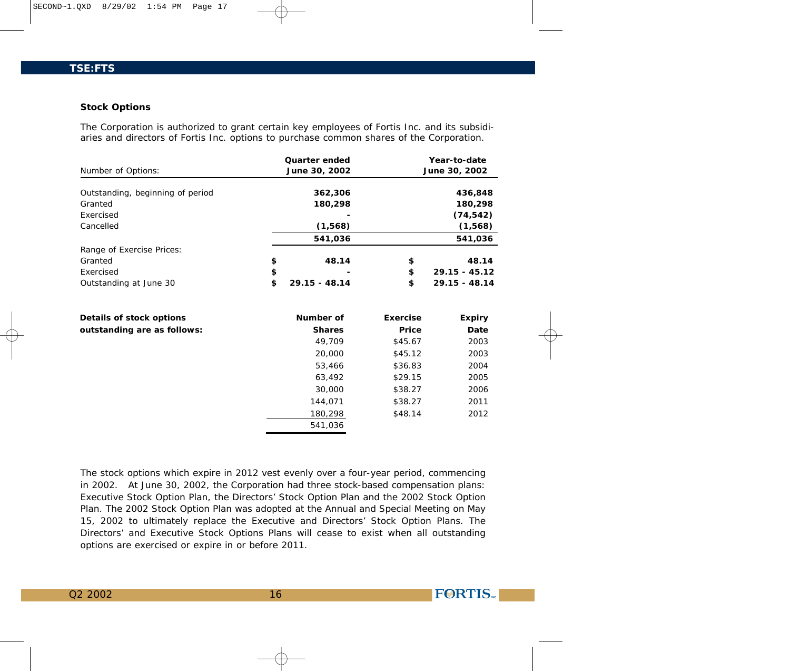#### **Stock Options**

The Corporation is authorized to grant certain key employees of Fortis Inc. and its subsidiaries and directors of Fortis Inc. options to purchase common shares of the Corporation.

|                                  | Quarter ended         |          | Year-to-date    |
|----------------------------------|-----------------------|----------|-----------------|
| Number of Options:               | June 30, 2002         |          | June 30, 2002   |
|                                  |                       |          |                 |
| Outstanding, beginning of period | 362,306               |          | 436,848         |
| Granted                          | 180,298               |          | 180,298         |
| Exercised                        |                       |          | (74, 542)       |
| Cancelled                        | (1,568)               |          | (1,568)         |
|                                  | 541,036               |          | 541,036         |
| Range of Exercise Prices:        |                       |          |                 |
| Granted                          | \$<br>48.14           | \$       | 48.14           |
| Exercised                        | \$                    | \$       | $29.15 - 45.12$ |
| Outstanding at June 30           | \$<br>$29.15 - 48.14$ | \$       | $29.15 - 48.14$ |
| Details of stock options         | Number of             | Exercise | Expiry          |
| outstanding are as follows:      | <b>Shares</b>         | Price    | Date            |
|                                  | 49,709                | \$45.67  | 2003            |
|                                  | 20,000                | \$45.12  | 2003            |
|                                  | 53,466                | \$36.83  | 2004            |
|                                  | 63,492                | \$29.15  | 2005            |
|                                  | 30,000                | \$38.27  | 2006            |
|                                  | 144,071               | \$38.27  | 2011            |
|                                  | 180,298               | \$48.14  | 2012            |
|                                  | 541,036               |          |                 |

The stock options which expire in 2012 vest evenly over a four-year period, commencing in 2002. At June 30, 2002, the Corporation had three stock-based compensation plans: Executive Stock Option Plan, the Directors' Stock Option Plan and the 2002 Stock Option Plan. The 2002 Stock Option Plan was adopted at the Annual and Special Meeting on May 15, 2002 to ultimately replace the Executive and Directors' Stock Option Plans. The Directors' and Executive Stock Options Plans will cease to exist when all outstanding options are exercised or expire in or before 2011.

Q2 2002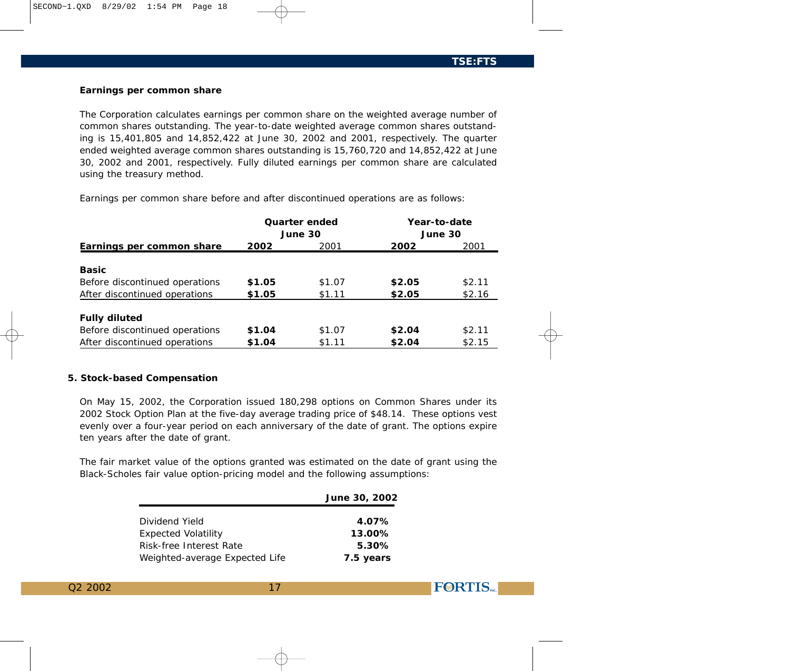**FØRTIS** 

## **Earnings per common share**

The Corporation calculates earnings per common share on the weighted average number of common shares outstanding. The year-to-date weighted average common shares outstanding is 15,401,805 and 14,852,422 at June 30, 2002 and 2001, respectively. The quarter ended weighted average common shares outstanding is 15,760,720 and 14,852,422 at June 30, 2002 and 2001, respectively. Fully diluted earnings per common share are calculated using the treasury method.

Earnings per common share before and after discontinued operations are as follows:

|                                |        | Quarter ended |         | Year-to-date |  |
|--------------------------------|--------|---------------|---------|--------------|--|
|                                |        | June 30       | June 30 |              |  |
| Earnings per common share      | 2002   | 2001          | 2002    | 2001         |  |
|                                |        |               |         |              |  |
| <b>Basic</b>                   |        |               |         |              |  |
| Before discontinued operations | \$1.05 | \$1.07        | \$2.05  | \$2.11       |  |
| After discontinued operations  | \$1.05 | \$1.11        | \$2.05  | \$2.16       |  |
|                                |        |               |         |              |  |
| <b>Fully diluted</b>           |        |               |         |              |  |
| Before discontinued operations | \$1.04 | \$1.07        | \$2.04  | \$2.11       |  |
| After discontinued operations  | \$1.04 | \$1.11        | \$2.04  | \$2.15       |  |

## **5. Stock-based Compensation**

On May 15, 2002, the Corporation issued 180,298 options on Common Shares under its 2002 Stock Option Plan at the five-day average trading price of \$48.14. These options vest evenly over a four-year period on each anniversary of the date of grant. The options expire ten years after the date of grant.

The fair market value of the options granted was estimated on the date of grant using the Black-Scholes fair value option-pricing model and the following assumptions:

|                                | June 30, 2002 |
|--------------------------------|---------------|
|                                |               |
| Dividend Yield                 | 4.07%         |
| <b>Expected Volatility</b>     | 13.00%        |
| Risk-free Interest Rate        | 5.30%         |
| Weighted-average Expected Life | 7.5 years     |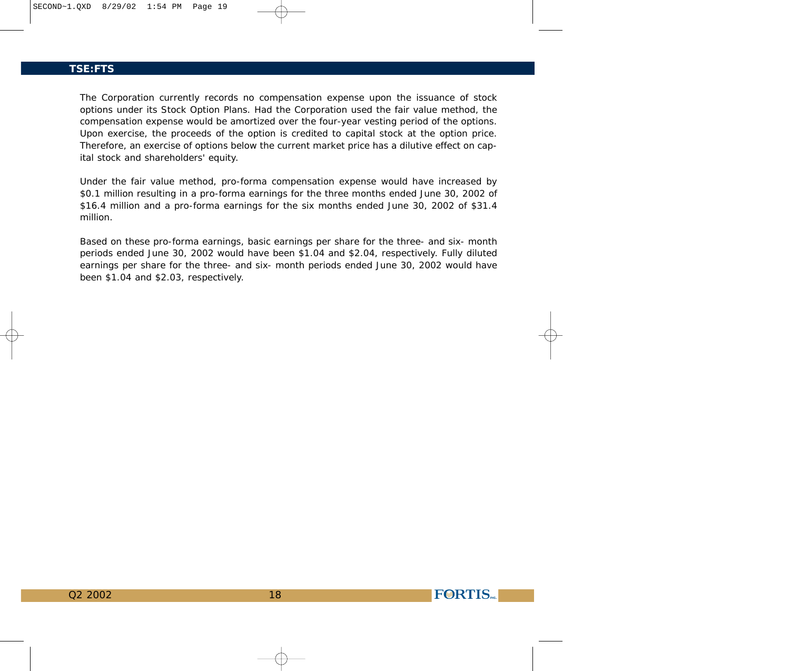The Corporation currently records no compensation expense upon the issuance of stock options under its Stock Option Plans. Had the Corporation used the fair value method, the compensation expense would be amortized over the four-year vesting period of the options. Upon exercise, the proceeds of the option is credited to capital stock at the option price. Therefore, an exercise of options below the current market price has a dilutive effect on capital stock and shareholders' equity.

Under the fair value method, pro-forma compensation expense would have increased by \$0.1 million resulting in a pro-forma earnings for the three months ended June 30, 2002 of \$16.4 million and a pro-forma earnings for the six months ended June 30, 2002 of \$31.4 million.

Based on these pro-forma earnings, basic earnings per share for the three- and six- month periods ended June 30, 2002 would have been \$1.04 and \$2.04, respectively. Fully diluted earnings per share for the three- and six- month periods ended June 30, 2002 would have been \$1.04 and \$2.03, respectively.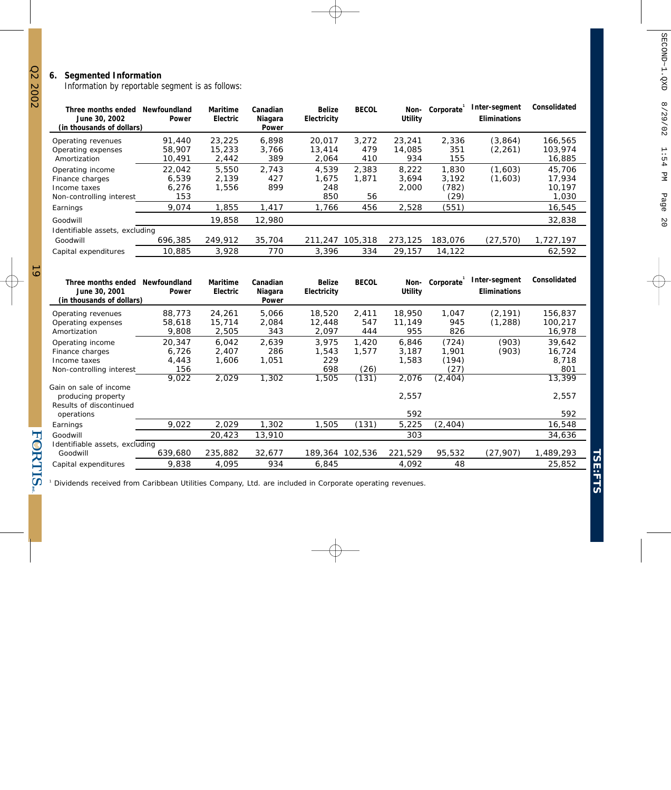Information by reportable segment is as follows:

| Three months ended<br>June 30, 2002<br>(in thousands of dollars)                | Newfoundland<br>Power           | Maritime<br>Electric      | Canadian<br>Niagara<br>Power | <b>Belize</b><br>Electricity | <b>BECOL</b>         | Non-<br>Utility         | Corporate                       | Inter-segment<br><b>Eliminations</b> | Consolidated                        |
|---------------------------------------------------------------------------------|---------------------------------|---------------------------|------------------------------|------------------------------|----------------------|-------------------------|---------------------------------|--------------------------------------|-------------------------------------|
| Operating revenues<br>Operating expenses<br>Amortization                        | 91.440<br>58,907<br>10.491      | 23,225<br>15,233<br>2,442 | 6.898<br>3.766<br>389        | 20.017<br>13,414<br>2.064    | 3.272<br>479<br>410  | 23,241<br>14,085<br>934 | 2.336<br>351<br>155             | (3.864)<br>(2, 261)                  | 166.565<br>103.974<br>16,885        |
| Operating income<br>Finance charges<br>Income taxes<br>Non-controlling interest | 22.042<br>6.539<br>6.276<br>153 | 5,550<br>2.139<br>1,556   | 2.743<br>427<br>899          | 4.539<br>1.675<br>248<br>850 | 2.383<br>1.871<br>56 | 8.222<br>3.694<br>2.000 | 1,830<br>3.192<br>(782)<br>(29) | (1,603)<br>(1,603)                   | 45,706<br>17.934<br>10.197<br>1,030 |
| Earnings                                                                        | 9,074                           | 1,855                     | 1,417                        | 1,766                        | 456                  | 2,528                   | (551)                           |                                      | 16,545                              |
| Goodwill                                                                        |                                 | 19,858                    | 12,980                       |                              |                      |                         |                                 |                                      | 32,838                              |
| Identifiable assets, excluding<br>Goodwill                                      | 696,385                         | 249,912                   | 35,704                       | 211,247                      | 105,318              | 273,125                 | 183,076                         | (27, 570)                            | 1,727,197                           |
| Capital expenditures                                                            | 10,885                          | 3.928                     | 770                          | 3.396                        | 334                  | 29.157                  | 14,122                          |                                      | 62,592                              |

| Three months ended<br>June 30, 2001<br>(in thousands of dollars) | Newfoundland<br>Power | Maritime<br>Electric | Canadian<br>Niagara<br>Power | Belize<br>Electricity | <b>BECOL</b> | Non-<br>Utility | Corporate | Inter-segment<br><b>Eliminations</b> | Consolidated |
|------------------------------------------------------------------|-----------------------|----------------------|------------------------------|-----------------------|--------------|-----------------|-----------|--------------------------------------|--------------|
| Operating revenues                                               | 88,773                | 24,261               | 5,066                        | 18,520                | 2,411        | 18,950          | 1,047     | (2, 191)                             | 156,837      |
| Operating expenses                                               | 58,618                | 15,714               | 2,084                        | 12,448                | 547          | 11,149          | 945       | (1, 288)                             | 100,217      |
| Amortization                                                     | 9,808                 | 2,505                | 343                          | 2,097                 | 444          | 955             | 826       |                                      | 16,978       |
| Operating income                                                 | 20,347                | 6.042                | 2,639                        | 3.975                 | 1.420        | 6.846           | (724)     | (903)                                | 39,642       |
| Finance charges                                                  | 6,726                 | 2,407                | 286                          | 1,543                 | 1,577        | 3,187           | 1,901     | (903)                                | 16,724       |
| Income taxes                                                     | 4,443                 | 1,606                | 1,051                        | 229                   |              | 1,583           | (194)     |                                      | 8,718        |
| Non-controlling interest                                         | 156                   |                      |                              | 698                   | (26)         |                 | (27)      |                                      | 801          |
|                                                                  | 9,022                 | 2,029                | 1,302                        | 1,505                 | (131)        | 2,076           | (2, 404)  |                                      | 13,399       |
| Gain on sale of income                                           |                       |                      |                              |                       |              |                 |           |                                      |              |
| producing property                                               |                       |                      |                              |                       |              | 2,557           |           |                                      | 2,557        |
| Results of discontinued                                          |                       |                      |                              |                       |              |                 |           |                                      |              |
| operations                                                       |                       |                      |                              |                       |              | 592             |           |                                      | 592          |
| Earnings                                                         | 9,022                 | 2,029                | 1,302                        | 1,505                 | (131)        | 5,225           | (2, 404)  |                                      | 16,548       |
| Goodwill                                                         |                       | 20,423               | 13,910                       |                       |              | 303             |           |                                      | 34,636       |
| Identifiable assets, excluding                                   |                       |                      |                              |                       |              |                 |           |                                      |              |
| Goodwill                                                         | 639,680               | 235,882              | 32,677                       | 189,364 102,536       |              | 221,529         | 95,532    | (27, 907)                            | 1,489,293    |
| Capital expenditures                                             | 9,838                 | 4,095                | 934                          | 6,845                 |              | 4,092           | 48        |                                      | 25,852       |

1 Dividends received from Caribbean Utilities Company, Ltd. are included in Corporate operating revenues.

<u>ত</u>

FORTIS-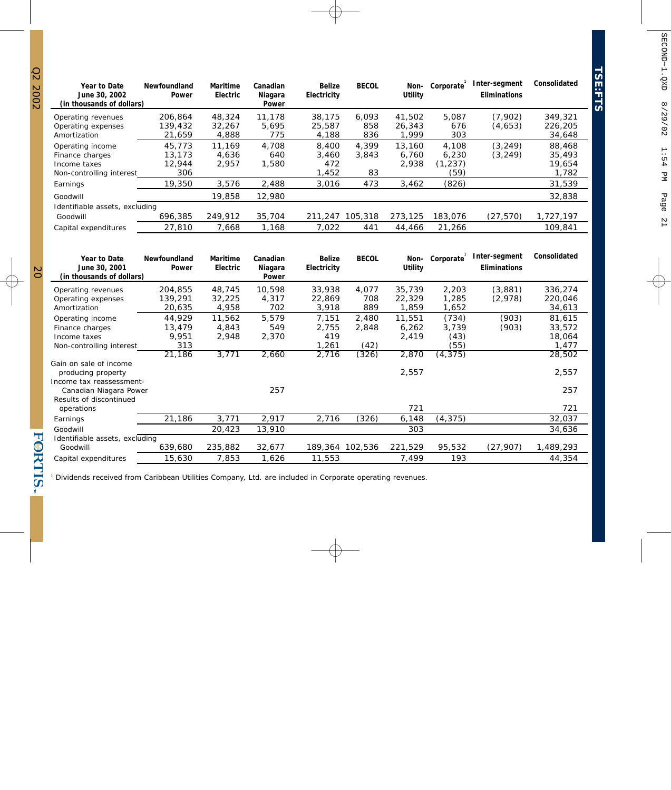| Year to Date<br>June 30, 2002<br>(in thousands of dollars) | Newfoundland<br>Power | Maritime<br>Electric | Canadian<br>Niagara<br>Power | <b>Belize</b><br>Electricity | <b>BECOL</b> | Non-<br>Utility | Corporate        | Inter-segment<br>Eliminations | Consolidated      |
|------------------------------------------------------------|-----------------------|----------------------|------------------------------|------------------------------|--------------|-----------------|------------------|-------------------------------|-------------------|
| Operating revenues                                         | 206,864               | 48,324               | 11,178                       | 38.175                       | 6.093        | 41,502          | 5.087            | (7,902)                       | 349,321           |
| Operating expenses<br>Amortization                         | 139,432<br>21.659     | 32,267<br>4,888      | 5.695<br>775                 | 25,587<br>4,188              | 858<br>836   | 26,343<br>1.999 | 676<br>303       | (4,653)                       | 226,205<br>34,648 |
| Operating income                                           | 45,773                | 11.169               | 4.708                        | 8,400                        | 4.399        | 13,160          | 4,108            | (3, 249)                      | 88,468            |
| Finance charges                                            | 13,173                | 4.636                | 640                          | 3.460                        | 3.843        | 6.760           | 6.230            | (3, 249)                      | 35,493            |
| Income taxes<br>Non-controlling interest                   | 12,944<br>306         | 2,957                | 1,580                        | 472<br>1,452                 | 83           | 2,938           | (1, 237)<br>(59) |                               | 19,654<br>1,782   |
| Earnings                                                   | 19,350                | 3.576                | 2.488                        | 3.016                        | 473          | 3,462           | (826)            |                               | 31,539            |
| Goodwill                                                   |                       | 19,858               | 12,980                       |                              |              |                 |                  |                               | 32,838            |
| Identifiable assets, excluding                             |                       |                      |                              |                              |              |                 |                  |                               |                   |
| Goodwill                                                   | 696,385               | 249.912              | 35,704                       | 211,247                      | 105,318      | 273,125         | 183,076          | (27, 570)                     | 1,727,197         |
| Capital expenditures                                       | 27,810                | 7,668                | 1,168                        | 7,022                        | 441          | 44,466          | 21,266           |                               | 109.841           |

| Year to Date<br>June 30, 2001<br>(in thousands of dollars)                                         | Newfoundland<br>Power                      | Maritime<br>Electric              | Canadian<br>Niagara<br>Power   | <b>Belize</b><br>Electricity            | <b>BECOL</b>                    | Non-<br>Utility                   | Corporate                                  | Inter-segment<br><b>Eliminations</b> | Consolidated                                  |
|----------------------------------------------------------------------------------------------------|--------------------------------------------|-----------------------------------|--------------------------------|-----------------------------------------|---------------------------------|-----------------------------------|--------------------------------------------|--------------------------------------|-----------------------------------------------|
| Operating revenues<br>Operating expenses<br>Amortization                                           | 204,855<br>139,291<br>20,635               | 48,745<br>32,225<br>4,958         | 10,598<br>4,317<br>702         | 33,938<br>22,869<br>3,918               | 4,077<br>708<br>889             | 35,739<br>22,329<br>1,859         | 2,203<br>1,285<br>1,652                    | (3,881)<br>(2,978)                   | 336,274<br>220,046<br>34,613                  |
| Operating income<br>Finance charges<br>Income taxes<br>Non-controlling interest                    | 44.929<br>13,479<br>9,951<br>313<br>21,186 | 11,562<br>4,843<br>2,948<br>3,771 | 5,579<br>549<br>2,370<br>2,660 | 7,151<br>2,755<br>419<br>1,261<br>2,716 | 2,480<br>2,848<br>(42)<br>(326) | 11,551<br>6,262<br>2,419<br>2,870 | (734)<br>3,739<br>(43)<br>(55)<br>(4, 375) | (903)<br>(903)                       | 81,615<br>33,572<br>18,064<br>1,477<br>28,502 |
| Gain on sale of income<br>producing property<br>Income tax reassessment-<br>Canadian Niagara Power |                                            |                                   | 257                            |                                         |                                 | 2,557                             |                                            |                                      | 2,557<br>257                                  |
| Results of discontinued<br>operations<br>Earnings                                                  | 21,186                                     | 3,771                             | 2,917                          | 2,716                                   | (326)                           | 721<br>6,148                      | (4, 375)                                   |                                      | 721<br>32,037                                 |
| Goodwill<br>Identifiable assets, excluding                                                         |                                            | 20,423                            | 13,910                         |                                         |                                 | 303                               |                                            |                                      | 34,636                                        |
| Goodwill<br>Capital expenditures                                                                   | 639,680<br>15,630                          | 235,882<br>7,853                  | 32,677<br>1,626                | 189,364 102,536<br>11,553               |                                 | 221,529<br>7,499                  | 95,532<br>193                              | (27, 907)                            | 1,489,293<br>44,354                           |

1 Dividends received from Caribbean Utilities Company, Ltd. are included in Corporate operating revenues.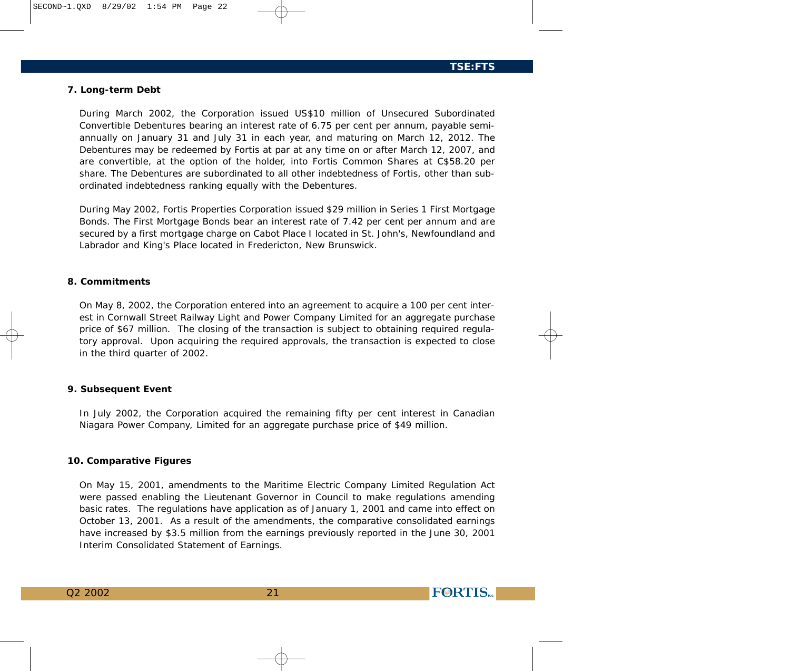## **7. Long-term Debt**

During March 2002, the Corporation issued US\$10 million of Unsecured Subordinated Convertible Debentures bearing an interest rate of 6.75 per cent per annum, payable semiannually on January 31 and July 31 in each year, and maturing on March 12, 2012. The Debentures may be redeemed by Fortis at par at any time on or after March 12, 2007, and are convertible, at the option of the holder, into Fortis Common Shares at C\$58.20 per share. The Debentures are subordinated to all other indebtedness of Fortis, other than subordinated indebtedness ranking equally with the Debentures.

During May 2002, Fortis Properties Corporation issued \$29 million in Series 1 First Mortgage Bonds. The First Mortgage Bonds bear an interest rate of 7.42 per cent per annum and are secured by a first mortgage charge on Cabot Place I located in St. John's, Newfoundland and Labrador and King's Place located in Fredericton, New Brunswick.

## **8. Commitments**

On May 8, 2002, the Corporation entered into an agreement to acquire a 100 per cent interest in Cornwall Street Railway Light and Power Company Limited for an aggregate purchase price of \$67 million. The closing of the transaction is subject to obtaining required regulatory approval. Upon acquiring the required approvals, the transaction is expected to close in the third quarter of 2002.

#### **9. Subsequent Event**

In July 2002, the Corporation acquired the remaining fifty per cent interest in Canadian Niagara Power Company, Limited for an aggregate purchase price of \$49 million.

#### **10. Comparative Figures**

On May 15, 2001, amendments to the Maritime Electric Company Limited Regulation Act were passed enabling the Lieutenant Governor in Council to make regulations amending basic rates. The regulations have application as of January 1, 2001 and came into effect on October 13, 2001. As a result of the amendments, the comparative consolidated earnings have increased by \$3.5 million from the earnings previously reported in the June 30, 2001 Interim Consolidated Statement of Earnings.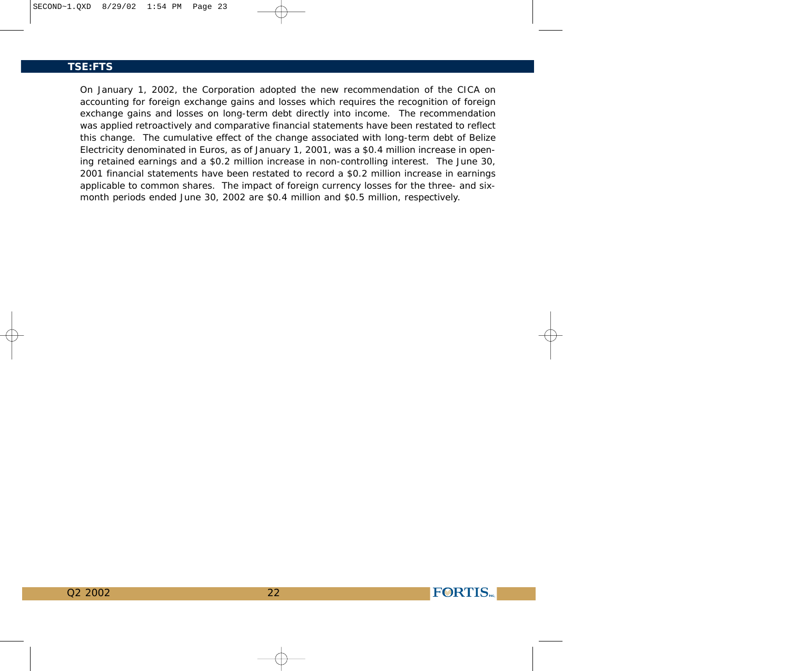On January 1, 2002, the Corporation adopted the new recommendation of the CICA on accounting for foreign exchange gains and losses which requires the recognition of foreign exchange gains and losses on long-term debt directly into income. The recommendation was applied retroactively and comparative financial statements have been restated to reflect this change. The cumulative effect of the change associated with long-term debt of Belize Electricity denominated in Euros, as of January 1, 2001, was a \$0.4 million increase in opening retained earnings and a \$0.2 million increase in non-controlling interest. The June 30, 2001 financial statements have been restated to record a \$0.2 million increase in earnings applicable to common shares. The impact of foreign currency losses for the three- and sixmonth periods ended June 30, 2002 are \$0.4 million and \$0.5 million, respectively.